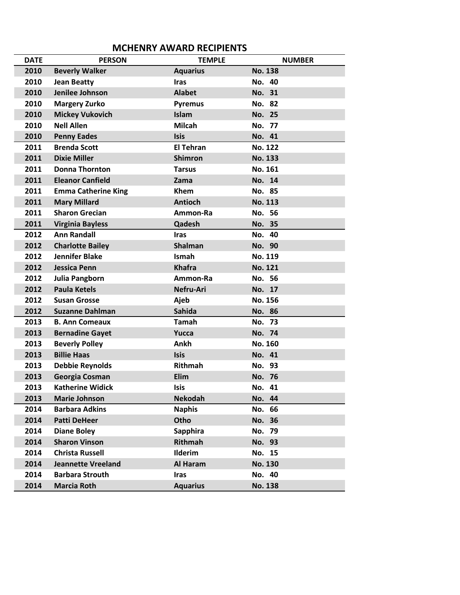## **MCHENRY AWARD RECIPIENTS**

| <b>DATE</b> | <b>PERSON</b>              | <b>TEMPLE</b>    | <b>NUMBER</b>  |
|-------------|----------------------------|------------------|----------------|
| 2010        | <b>Beverly Walker</b>      | <b>Aquarius</b>  | <b>No. 138</b> |
| 2010        | <b>Jean Beatty</b>         | <b>Iras</b>      | No. 40         |
| 2010        | Jenilee Johnson            | <b>Alabet</b>    | No. 31         |
| 2010        | <b>Margery Zurko</b>       | <b>Pyremus</b>   | No. 82         |
| 2010        | <b>Mickey Vukovich</b>     | Islam            | <b>No. 25</b>  |
| 2010        | <b>Nell Allen</b>          | <b>Milcah</b>    | No. 77         |
| 2010        | <b>Penny Eades</b>         | <b>Isis</b>      | No. 41         |
| 2011        | <b>Brenda Scott</b>        | <b>El Tehran</b> | <b>No. 122</b> |
| 2011        | <b>Dixie Miller</b>        | <b>Shimron</b>   | <b>No. 133</b> |
| 2011        | <b>Donna Thornton</b>      | <b>Tarsus</b>    | No. 161        |
| 2011        | <b>Eleanor Canfield</b>    | Zama             | No. 14         |
| 2011        | <b>Emma Catherine King</b> | Khem             | No. 85         |
| 2011        | <b>Mary Millard</b>        | <b>Antioch</b>   | <b>No. 113</b> |
| 2011        | <b>Sharon Grecian</b>      | Ammon-Ra         | No. 56         |
| 2011        | <b>Virginia Bayless</b>    | Qadesh           | No. 35         |
| 2012        | <b>Ann Randall</b>         | <b>Iras</b>      | No. 40         |
| 2012        | <b>Charlotte Bailey</b>    | <b>Shalman</b>   | No. 90         |
| 2012        | <b>Jennifer Blake</b>      | Ismah            | <b>No. 119</b> |
| 2012        | <b>Jessica Penn</b>        | <b>Khafra</b>    | <b>No. 121</b> |
| 2012        | Julia Pangborn             | Ammon-Ra         | No. 56         |
| 2012        | <b>Paula Ketels</b>        | Nefru-Ari        | No. 17         |
| 2012        | <b>Susan Grosse</b>        | Ajeb             | No. 156        |
| 2012        | <b>Suzanne Dahlman</b>     | <b>Sahida</b>    | No. 86         |
| 2013        | <b>B. Ann Comeaux</b>      | Tamah            | No. 73         |
| 2013        | <b>Bernadine Gayet</b>     | Yucca            | No. 74         |
| 2013        | <b>Beverly Polley</b>      | Ankh             | No. 160        |
| 2013        | <b>Billie Haas</b>         | <b>Isis</b>      | No. 41         |
| 2013        | <b>Debbie Reynolds</b>     | <b>Rithmah</b>   | No. 93         |
| 2013        | Georgia Cosman             | Elim             | No. 76         |
| 2013        | <b>Katherine Widick</b>    | <b>Isis</b>      | No. 41         |
| 2013        | <b>Marie Johnson</b>       | <b>Nekodah</b>   | No. 44         |
| 2014        | <b>Barbara Adkins</b>      | <b>Naphis</b>    | No. 66         |
| 2014        | <b>Patti DeHeer</b>        | Otho             | No. 36         |
| 2014        | <b>Diane Boley</b>         | Sapphira         | No. 79         |
| 2014        | <b>Sharon Vinson</b>       | Rithmah          | No. 93         |
| 2014        | <b>Christa Russell</b>     | <b>Ilderim</b>   | No. 15         |
| 2014        | <b>Jeannette Vreeland</b>  | Al Haram         | <b>No. 130</b> |
| 2014        | <b>Barbara Strouth</b>     | <b>Iras</b>      | No. 40         |
| 2014        | <b>Marcia Roth</b>         | <b>Aquarius</b>  | <b>No. 138</b> |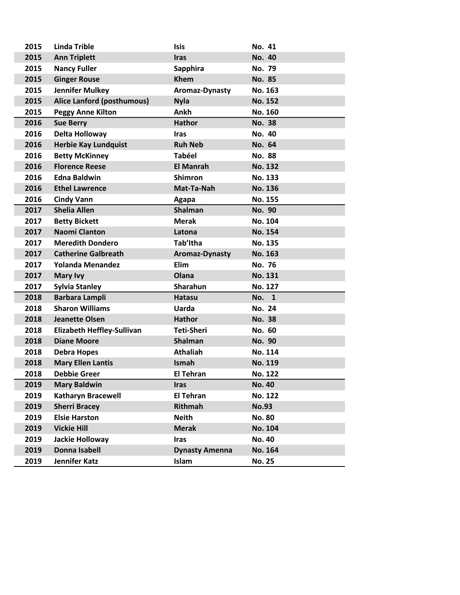| 2015 | <b>Linda Trible</b>               | <b>Isis</b>           | No. 41         |
|------|-----------------------------------|-----------------------|----------------|
| 2015 | <b>Ann Triplett</b>               | <b>Iras</b>           | <b>No. 40</b>  |
| 2015 | <b>Nancy Fuller</b>               | Sapphira              | <b>No. 79</b>  |
| 2015 | <b>Ginger Rouse</b>               | <b>Khem</b>           | No. 85         |
| 2015 | <b>Jennifer Mulkey</b>            | Aromaz-Dynasty        | No. 163        |
| 2015 | Alice Lanford (posthumous)        | <b>Nyla</b>           | <b>No. 152</b> |
| 2015 | <b>Peggy Anne Kilton</b>          | Ankh                  | No. 160        |
| 2016 | <b>Sue Berry</b>                  | <b>Hathor</b>         | <b>No. 38</b>  |
| 2016 | Delta Holloway                    | <b>Iras</b>           | <b>No. 40</b>  |
| 2016 | <b>Herbie Kay Lundquist</b>       | <b>Ruh Neb</b>        | No. 64         |
| 2016 | <b>Betty McKinney</b>             | <b>Tabéel</b>         | <b>No. 88</b>  |
| 2016 | <b>Florence Reese</b>             | <b>El Manrah</b>      | <b>No. 132</b> |
| 2016 | <b>Edna Baldwin</b>               | <b>Shimron</b>        | <b>No. 133</b> |
| 2016 | <b>Ethel Lawrence</b>             | Mat-Ta-Nah            | <b>No. 136</b> |
| 2016 | <b>Cindy Vann</b>                 | Agapa                 | No. 155        |
| 2017 | <b>Shelia Allen</b>               | <b>Shalman</b>        | No. 90         |
| 2017 | <b>Betty Bickett</b>              | <b>Merak</b>          | No. 104        |
| 2017 | <b>Naomi Clanton</b>              | Latona                | <b>No. 154</b> |
| 2017 | <b>Meredith Dondero</b>           | Tab'Itha              | <b>No. 135</b> |
| 2017 | <b>Catherine Galbreath</b>        | Aromaz-Dynasty        | <b>No. 163</b> |
| 2017 | <b>Yolanda Menandez</b>           | Elim                  | No. 76         |
| 2017 | <b>Mary Ivy</b>                   | Olana                 | <b>No. 131</b> |
| 2017 | <b>Sylvia Stanley</b>             | Sharahun              | <b>No. 127</b> |
| 2018 | Barbara Lampli                    | <b>Hatasu</b>         | No. 1          |
| 2018 | <b>Sharon Williams</b>            | <b>Uarda</b>          | No. 24         |
| 2018 | <b>Jeanette Olsen</b>             | <b>Hathor</b>         | <b>No. 38</b>  |
| 2018 | <b>Elizabeth Heffley-Sullivan</b> | Teti-Sheri            | No. 60         |
| 2018 | <b>Diane Moore</b>                | Shalman               | No. 90         |
| 2018 | <b>Debra Hopes</b>                | <b>Athaliah</b>       | No. 114        |
| 2018 | <b>Mary Ellen Lantis</b>          | Ismah                 | <b>No. 119</b> |
| 2018 | <b>Debbie Greer</b>               | <b>El Tehran</b>      | <b>No. 122</b> |
| 2019 | <b>Mary Baldwin</b>               | <b>Iras</b>           | <b>No. 40</b>  |
| 2019 | Katharyn Bracewell                | <b>El Tehran</b>      | <b>No. 122</b> |
| 2019 | <b>Sherri Bracey</b>              | Rithmah               | <b>No.93</b>   |
| 2019 | <b>Elsie Harston</b>              | <b>Neith</b>          | <b>No. 80</b>  |
| 2019 | <b>Vickie Hill</b>                | <b>Merak</b>          | <b>No. 104</b> |
| 2019 | Jackie Holloway                   | <b>Iras</b>           | <b>No. 40</b>  |
| 2019 | Donna Isabell                     | <b>Dynasty Amenna</b> | <b>No. 164</b> |
| 2019 | Jennifer Katz                     | Islam                 | <b>No. 25</b>  |